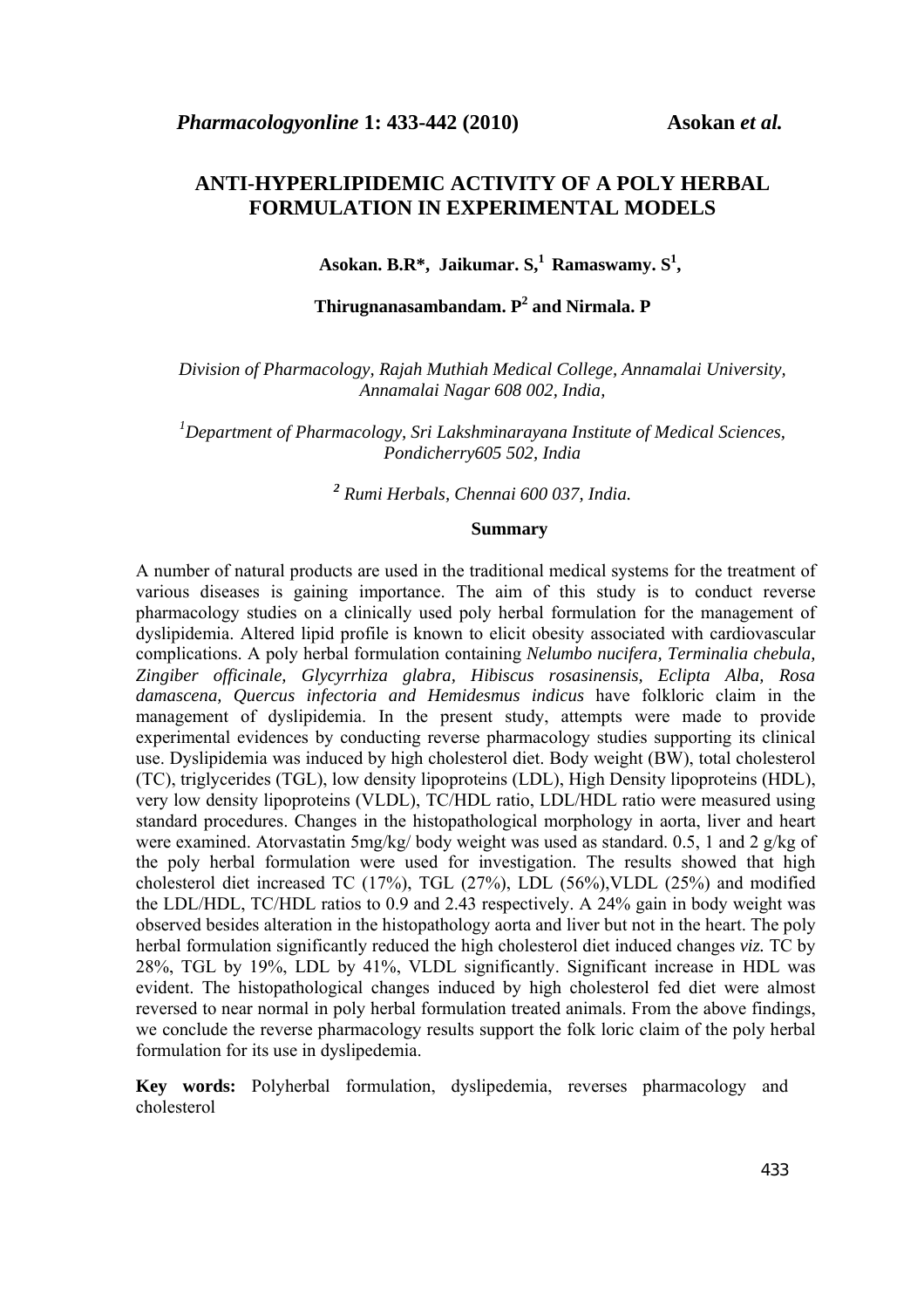# **ANTI-HYPERLIPIDEMIC ACTIVITY OF A POLY HERBAL FORMULATION IN EXPERIMENTAL MODELS**

Asokan. B.R<sup>\*</sup>, Jaikumar. S,<sup>1</sup> Ramaswamy. S<sup>1</sup>,

# **Thirugnanasambandam. P<sup>2</sup> and Nirmala. P**

*Division of Pharmacology, Rajah Muthiah Medical College, Annamalai University, Annamalai Nagar 608 002, India,* 

*1 Department of Pharmacology, Sri Lakshminarayana Institute of Medical Sciences, Pondicherry605 502, India* 

*2 Rumi Herbals, Chennai 600 037, India.* 

# **Summary**

A number of natural products are used in the traditional medical systems for the treatment of various diseases is gaining importance. The aim of this study is to conduct reverse pharmacology studies on a clinically used poly herbal formulation for the management of dyslipidemia. Altered lipid profile is known to elicit obesity associated with cardiovascular complications. A poly herbal formulation containing *Nelumbo nucifera, Terminalia chebula, Zingiber officinale, Glycyrrhiza glabra, Hibiscus rosasinensis, Eclipta Alba, Rosa damascena, Quercus infectoria and Hemidesmus indicus* have folkloric claim in the management of dyslipidemia. In the present study, attempts were made to provide experimental evidences by conducting reverse pharmacology studies supporting its clinical use. Dyslipidemia was induced by high cholesterol diet. Body weight (BW), total cholesterol (TC), triglycerides (TGL), low density lipoproteins (LDL), High Density lipoproteins (HDL), very low density lipoproteins (VLDL), TC/HDL ratio, LDL/HDL ratio were measured using standard procedures. Changes in the histopathological morphology in aorta, liver and heart were examined. Atorvastatin 5mg/kg/ body weight was used as standard. 0.5, 1 and 2 g/kg of the poly herbal formulation were used for investigation. The results showed that high cholesterol diet increased TC (17%), TGL (27%), LDL (56%),VLDL (25%) and modified the LDL/HDL, TC/HDL ratios to 0.9 and 2.43 respectively. A 24% gain in body weight was observed besides alteration in the histopathology aorta and liver but not in the heart. The poly herbal formulation significantly reduced the high cholesterol diet induced changes *viz.* TC by 28%, TGL by 19%, LDL by 41%, VLDL significantly. Significant increase in HDL was evident. The histopathological changes induced by high cholesterol fed diet were almost reversed to near normal in poly herbal formulation treated animals. From the above findings, we conclude the reverse pharmacology results support the folk loric claim of the poly herbal formulation for its use in dyslipedemia.

**Key words:** Polyherbal formulation, dyslipedemia, reverses pharmacology and cholesterol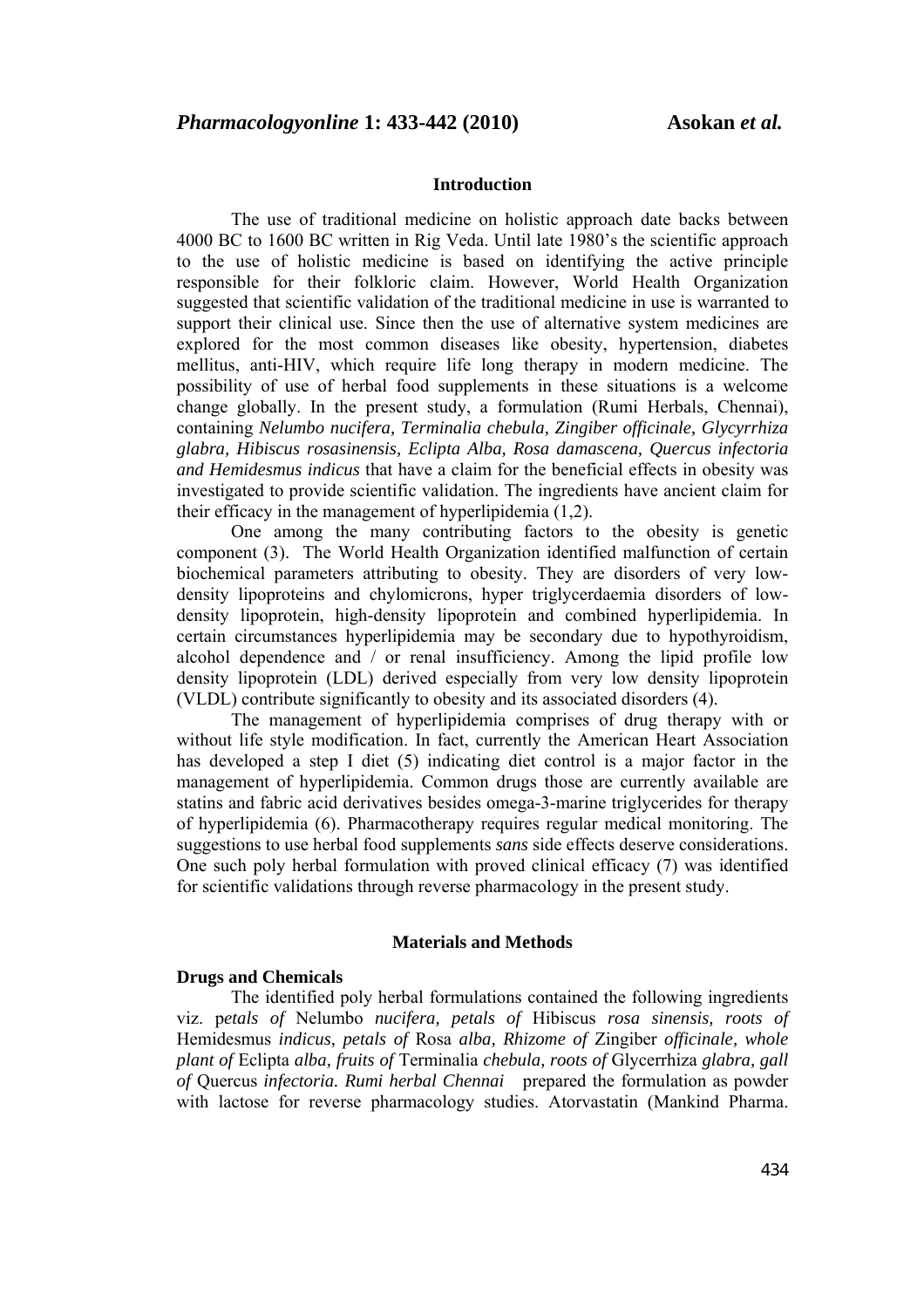# **Introduction**

 The use of traditional medicine on holistic approach date backs between 4000 BC to 1600 BC written in Rig Veda. Until late 1980's the scientific approach to the use of holistic medicine is based on identifying the active principle responsible for their folkloric claim. However, World Health Organization suggested that scientific validation of the traditional medicine in use is warranted to support their clinical use. Since then the use of alternative system medicines are explored for the most common diseases like obesity, hypertension, diabetes mellitus, anti-HIV, which require life long therapy in modern medicine. The possibility of use of herbal food supplements in these situations is a welcome change globally. In the present study, a formulation (Rumi Herbals, Chennai), containing *Nelumbo nucifera, Terminalia chebula, Zingiber officinale, Glycyrrhiza glabra, Hibiscus rosasinensis, Eclipta Alba, Rosa damascena, Quercus infectoria and Hemidesmus indicus* that have a claim for the beneficial effects in obesity was investigated to provide scientific validation. The ingredients have ancient claim for their efficacy in the management of hyperlipidemia (1,2).

 One among the many contributing factors to the obesity is genetic component (3). The World Health Organization identified malfunction of certain biochemical parameters attributing to obesity. They are disorders of very lowdensity lipoproteins and chylomicrons, hyper triglycerdaemia disorders of lowdensity lipoprotein, high-density lipoprotein and combined hyperlipidemia. In certain circumstances hyperlipidemia may be secondary due to hypothyroidism, alcohol dependence and / or renal insufficiency. Among the lipid profile low density lipoprotein (LDL) derived especially from very low density lipoprotein (VLDL) contribute significantly to obesity and its associated disorders (4).

 The management of hyperlipidemia comprises of drug therapy with or without life style modification. In fact, currently the American Heart Association has developed a step I diet (5) indicating diet control is a major factor in the management of hyperlipidemia. Common drugs those are currently available are statins and fabric acid derivatives besides omega-3-marine triglycerides for therapy of hyperlipidemia (6). Pharmacotherapy requires regular medical monitoring. The suggestions to use herbal food supplements *sans* side effects deserve considerations. One such poly herbal formulation with proved clinical efficacy (7) was identified for scientific validations through reverse pharmacology in the present study.

## **Materials and Methods**

## **Drugs and Chemicals**

 The identified poly herbal formulations contained the following ingredients viz. p*etals of* Nelumbo *nucifera, petals of* Hibiscus *rosa sinensis, roots of*  Hemidesmus *indicus, petals of* Rosa *alba, Rhizome of* Zingiber *officinale, whole plant of* Eclipta *alba, fruits of* Terminalia *chebula, roots of* Glycerrhiza *glabra, gall of* Quercus *infectoria. Rumi herbal Chennai* prepared the formulation as powder with lactose for reverse pharmacology studies. Atorvastatin (Mankind Pharma.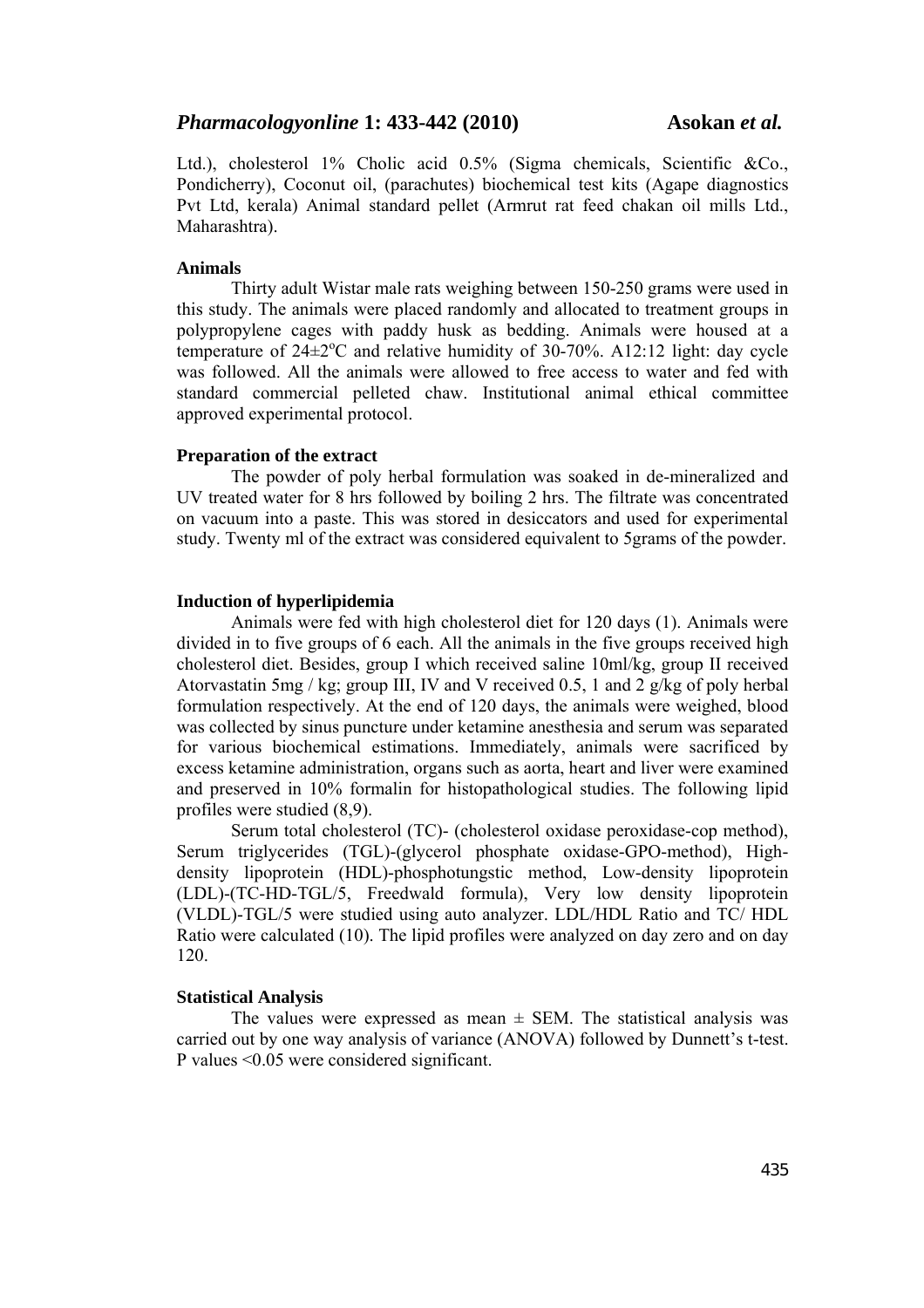Ltd.), cholesterol 1% Cholic acid 0.5% (Sigma chemicals, Scientific &Co., Pondicherry), Coconut oil, (parachutes) biochemical test kits (Agape diagnostics Pvt Ltd, kerala) Animal standard pellet (Armrut rat feed chakan oil mills Ltd., Maharashtra).

#### **Animals**

Thirty adult Wistar male rats weighing between 150-250 grams were used in this study. The animals were placed randomly and allocated to treatment groups in polypropylene cages with paddy husk as bedding. Animals were housed at a temperature of  $24\pm2$ <sup>o</sup>C and relative humidity of 30-70%. A12:12 light: day cycle was followed. All the animals were allowed to free access to water and fed with standard commercial pelleted chaw. Institutional animal ethical committee approved experimental protocol.

## **Preparation of the extract**

 The powder of poly herbal formulation was soaked in de-mineralized and UV treated water for 8 hrs followed by boiling 2 hrs. The filtrate was concentrated on vacuum into a paste. This was stored in desiccators and used for experimental study. Twenty ml of the extract was considered equivalent to 5grams of the powder.

#### **Induction of hyperlipidemia**

 Animals were fed with high cholesterol diet for 120 days (1). Animals were divided in to five groups of 6 each. All the animals in the five groups received high cholesterol diet. Besides, group I which received saline 10ml/kg, group II received Atorvastatin 5mg / kg; group III, IV and V received 0.5, 1 and 2 g/kg of poly herbal formulation respectively. At the end of 120 days, the animals were weighed, blood was collected by sinus puncture under ketamine anesthesia and serum was separated for various biochemical estimations. Immediately, animals were sacrificed by excess ketamine administration, organs such as aorta, heart and liver were examined and preserved in 10% formalin for histopathological studies. The following lipid profiles were studied (8,9).

 Serum total cholesterol (TC)- (cholesterol oxidase peroxidase-cop method), Serum triglycerides (TGL)-(glycerol phosphate oxidase-GPO-method), Highdensity lipoprotein (HDL)-phosphotungstic method, Low-density lipoprotein (LDL)-(TC-HD-TGL/5, Freedwald formula), Very low density lipoprotein (VLDL)-TGL/5 were studied using auto analyzer. LDL/HDL Ratio and TC/ HDL Ratio were calculated (10). The lipid profiles were analyzed on day zero and on day 120.

#### **Statistical Analysis**

The values were expressed as mean  $\pm$  SEM. The statistical analysis was carried out by one way analysis of variance (ANOVA) followed by Dunnett's t-test. P values <0.05 were considered significant.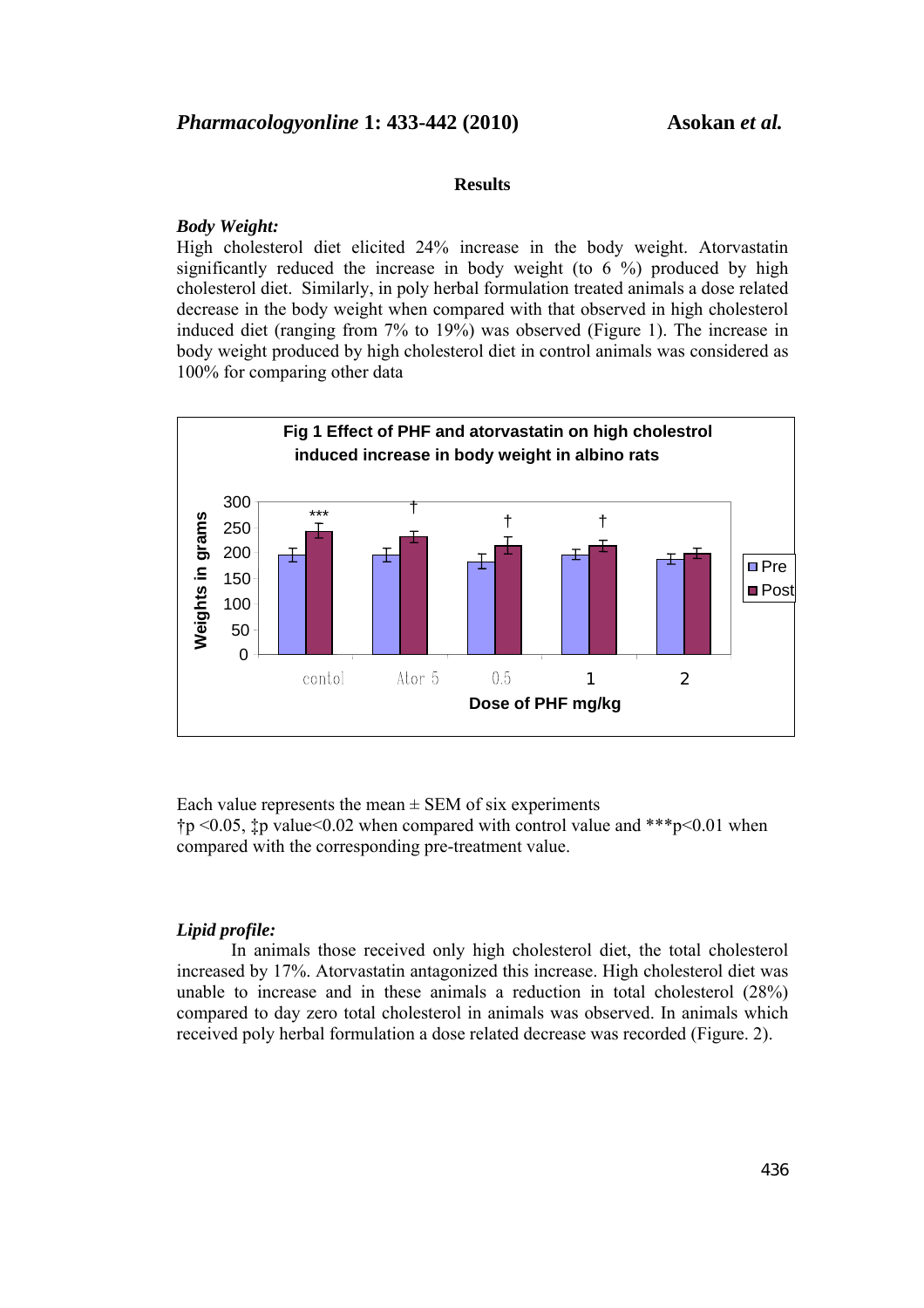#### **Results**

#### *Body Weight:*

High cholesterol diet elicited 24% increase in the body weight. Atorvastatin significantly reduced the increase in body weight (to 6 %) produced by high cholesterol diet. Similarly, in poly herbal formulation treated animals a dose related decrease in the body weight when compared with that observed in high cholesterol induced diet (ranging from 7% to 19%) was observed (Figure 1). The increase in body weight produced by high cholesterol diet in control animals was considered as 100% for comparing other data



Each value represents the mean  $\pm$  SEM of six experiments  $\uparrow p \leq 0.05$ ,  $\downarrow p$  values  $0.02$  when compared with control value and \*\*\*  $p \leq 0.01$  when compared with the corresponding pre-treatment value.

# *Lipid profile:*

In animals those received only high cholesterol diet, the total cholesterol increased by 17%. Atorvastatin antagonized this increase. High cholesterol diet was unable to increase and in these animals a reduction in total cholesterol (28%) compared to day zero total cholesterol in animals was observed. In animals which received poly herbal formulation a dose related decrease was recorded (Figure. 2).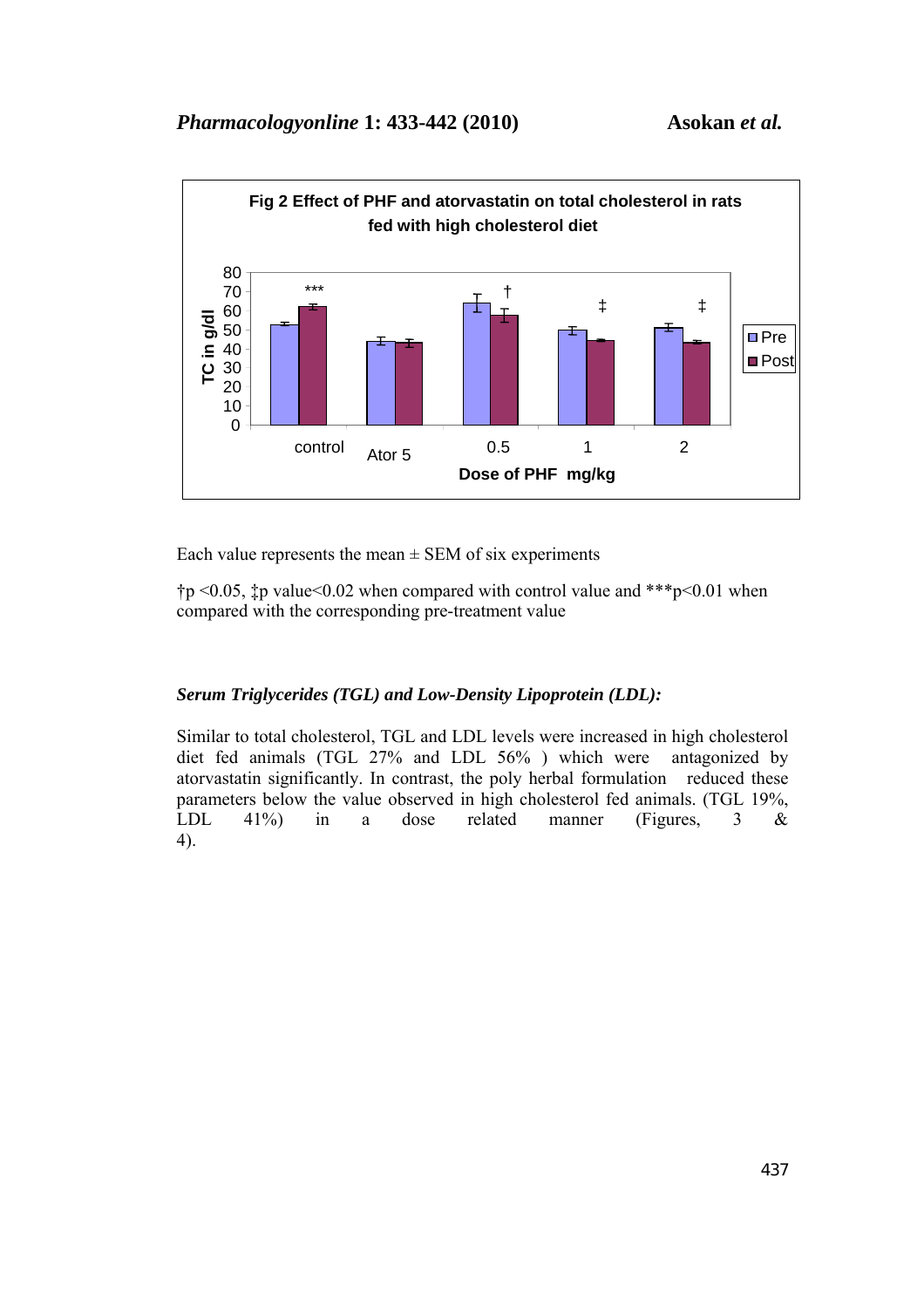

Each value represents the mean  $\pm$  SEM of six experiments

 $\uparrow p$  <0.05,  $\downarrow p$  value <0.02 when compared with control value and \*\*\*p <0.01 when compared with the corresponding pre-treatment value

# *Serum Triglycerides (TGL) and Low-Density Lipoprotein (LDL):*

Similar to total cholesterol, TGL and LDL levels were increased in high cholesterol diet fed animals (TGL 27% and LDL 56% ) which were antagonized by atorvastatin significantly. In contrast, the poly herbal formulation reduced these parameters below the value observed in high cholesterol fed animals. (TGL 19%, LDL 41%) in a dose related manner (Figures, 3 & 4).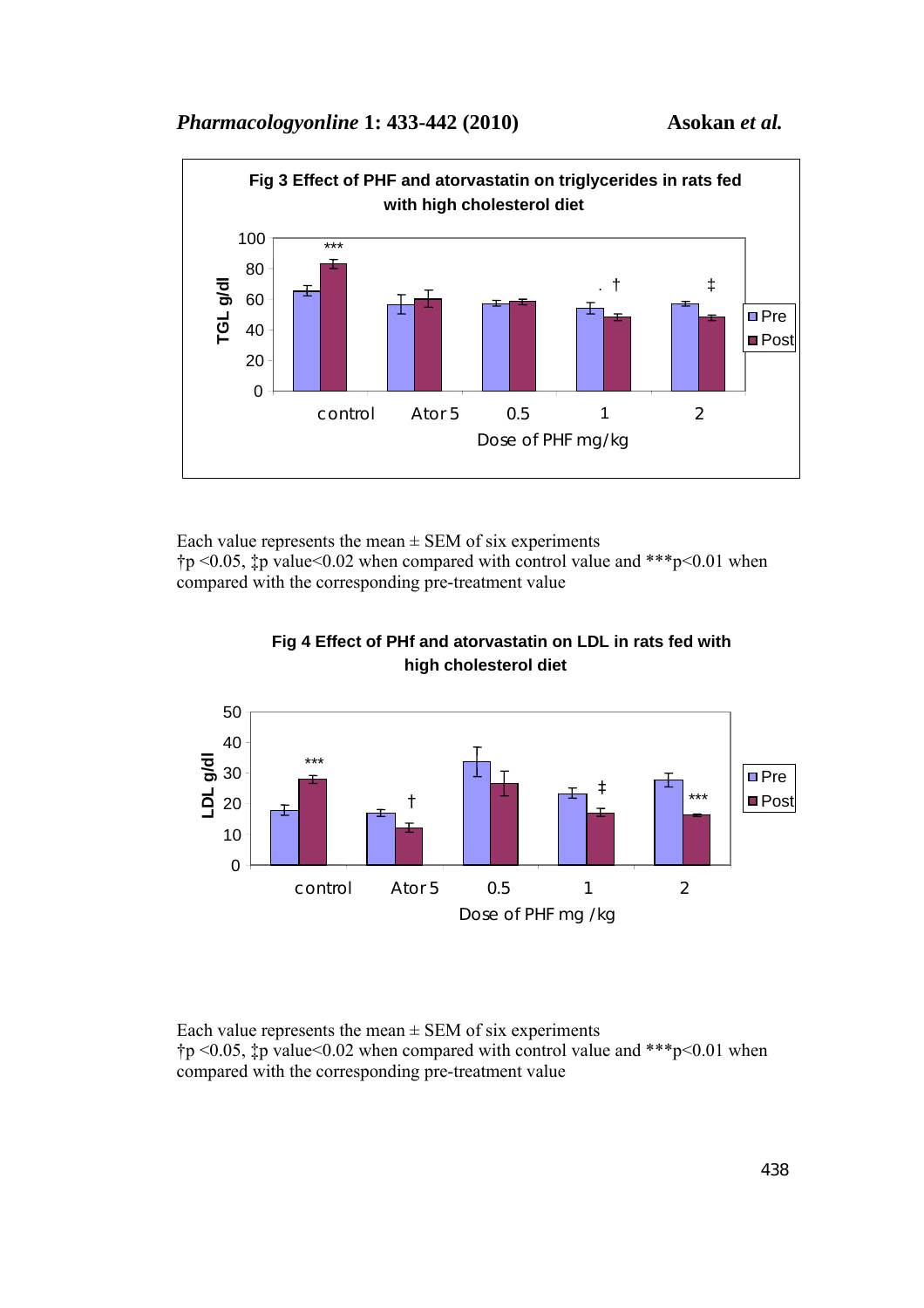

Each value represents the mean  $\pm$  SEM of six experiments  $\uparrow p \leq 0.05$ ,  $\downarrow p$  values  $0.02$  when compared with control value and \*\*\*p $\leq 0.01$  when compared with the corresponding pre-treatment value



 **Fig 4 Effect of PHf and atorvastatin on LDL in rats fed with high cholesterol diet**

Each value represents the mean  $\pm$  SEM of six experiments  $\uparrow p \leq 0.05$ ,  $\downarrow p$  values  $0.02$  when compared with control value and \*\*\*p $\leq 0.01$  when compared with the corresponding pre-treatment value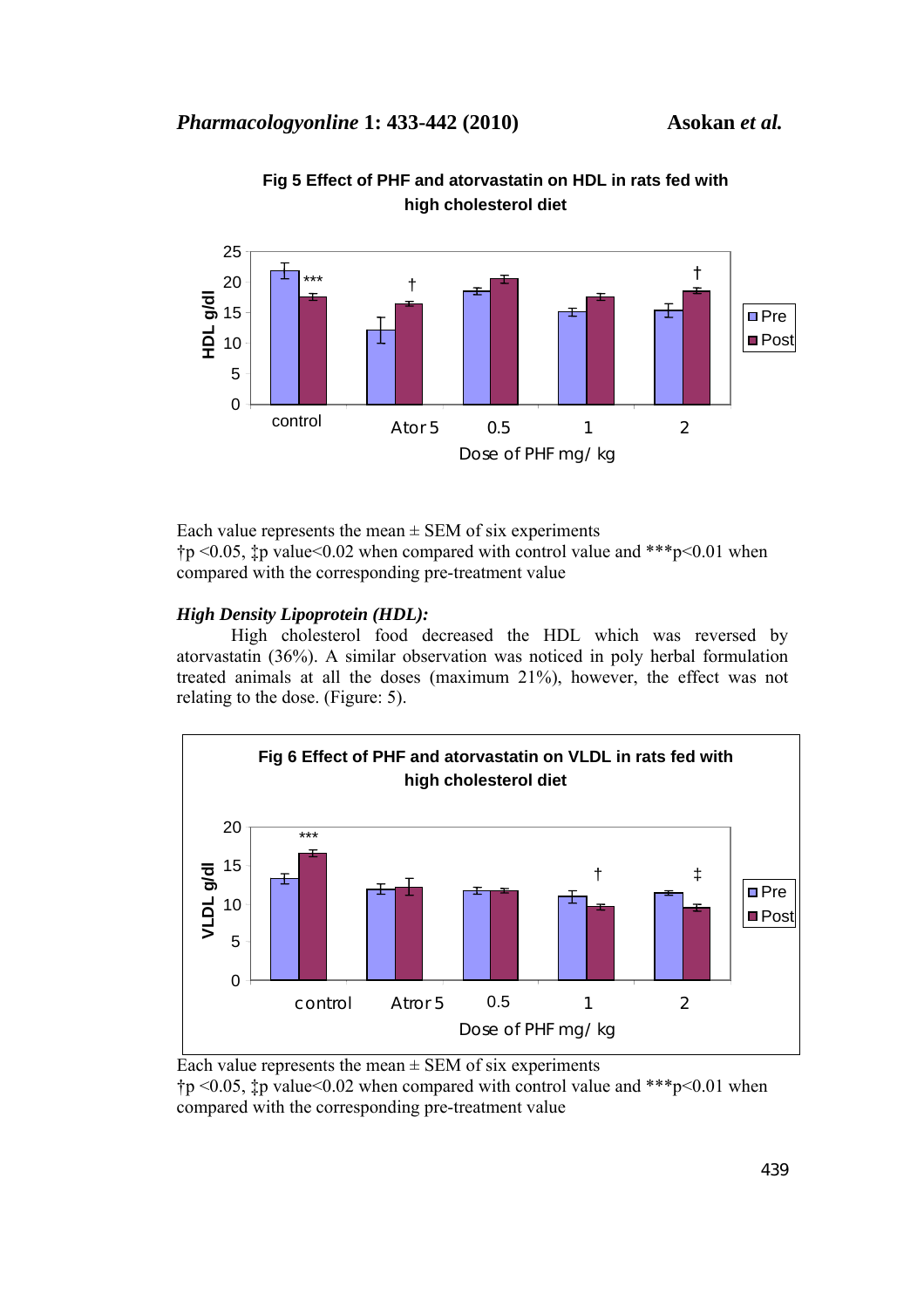

**Fig 5 Effect of PHF and atorvastatin on HDL in rats fed with high cholesterol diet**

Each value represents the mean  $\pm$  SEM of six experiments  $\uparrow p$  <0.05,  $\downarrow p$  value <0.02 when compared with control value and \*\*\*  $p$  <0.01 when compared with the corresponding pre-treatment value

# *High Density Lipoprotein (HDL):*

High cholesterol food decreased the HDL which was reversed by atorvastatin (36%). A similar observation was noticed in poly herbal formulation treated animals at all the doses (maximum 21%), however, the effect was not relating to the dose. (Figure: 5).



Each value represents the mean  $\pm$  SEM of six experiments  $\uparrow p$  <0.05,  $\downarrow p$  value <0.02 when compared with control value and \*\*\*p <0.01 when compared with the corresponding pre-treatment value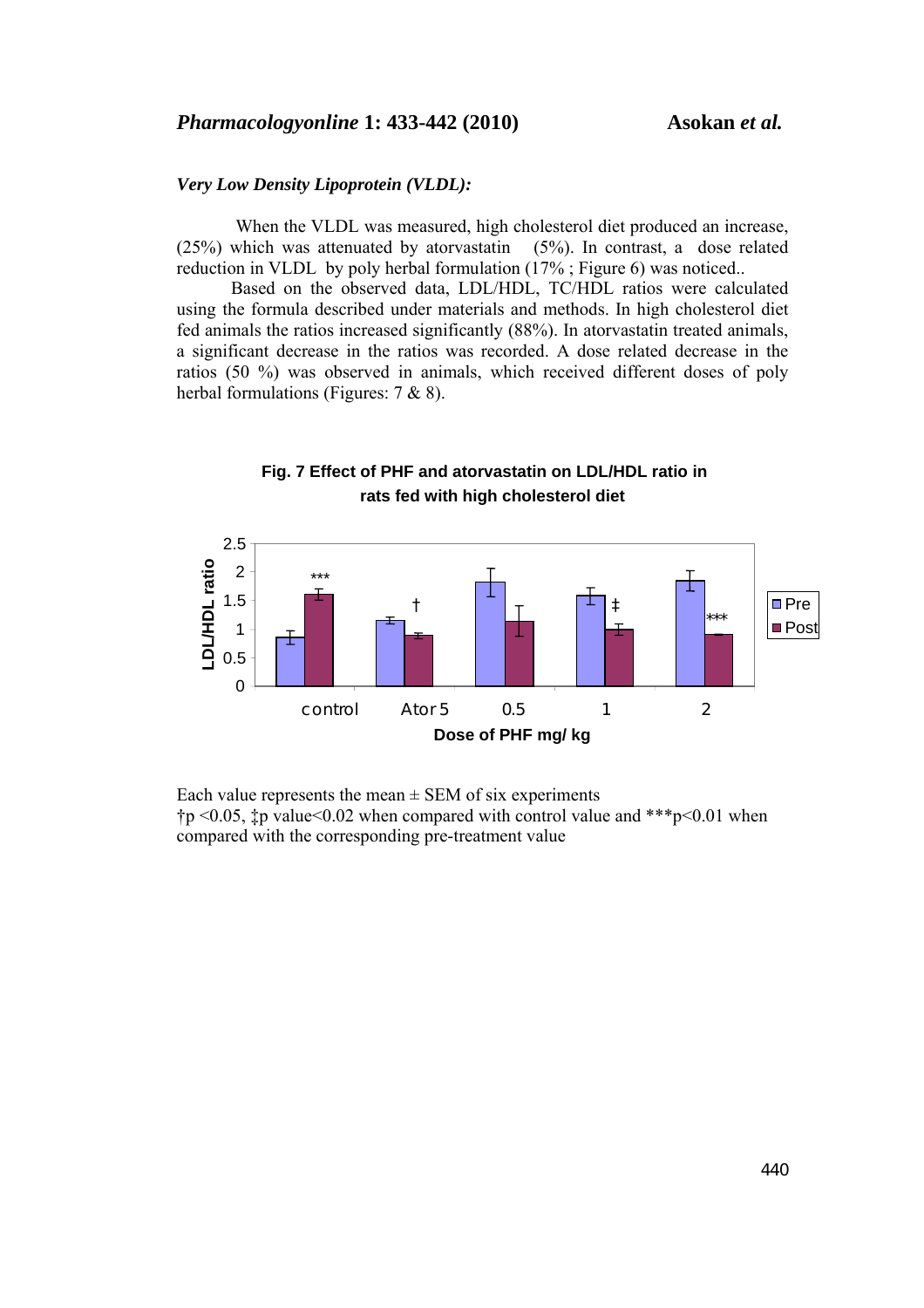#### *Very Low Density Lipoprotein (VLDL):*

 When the VLDL was measured, high cholesterol diet produced an increase, (25%) which was attenuated by atorvastatin (5%). In contrast, a dose related reduction in VLDL by poly herbal formulation (17% ; Figure 6) was noticed...

Based on the observed data, LDL/HDL, TC/HDL ratios were calculated using the formula described under materials and methods. In high cholesterol diet fed animals the ratios increased significantly (88%). In atorvastatin treated animals, a significant decrease in the ratios was recorded. A dose related decrease in the ratios (50 %) was observed in animals, which received different doses of poly herbal formulations (Figures: 7 & 8).



**Fig. 7 Effect of PHF and atorvastatin on LDL/HDL ratio in rats fed with high cholesterol diet**

Each value represents the mean  $\pm$  SEM of six experiments  $\tau$  to  $\leq 0.05$ ,  $\tau$  p value  $\leq 0.02$  when compared with control value and \*\*\*p $\leq 0.01$  when compared with the corresponding pre-treatment value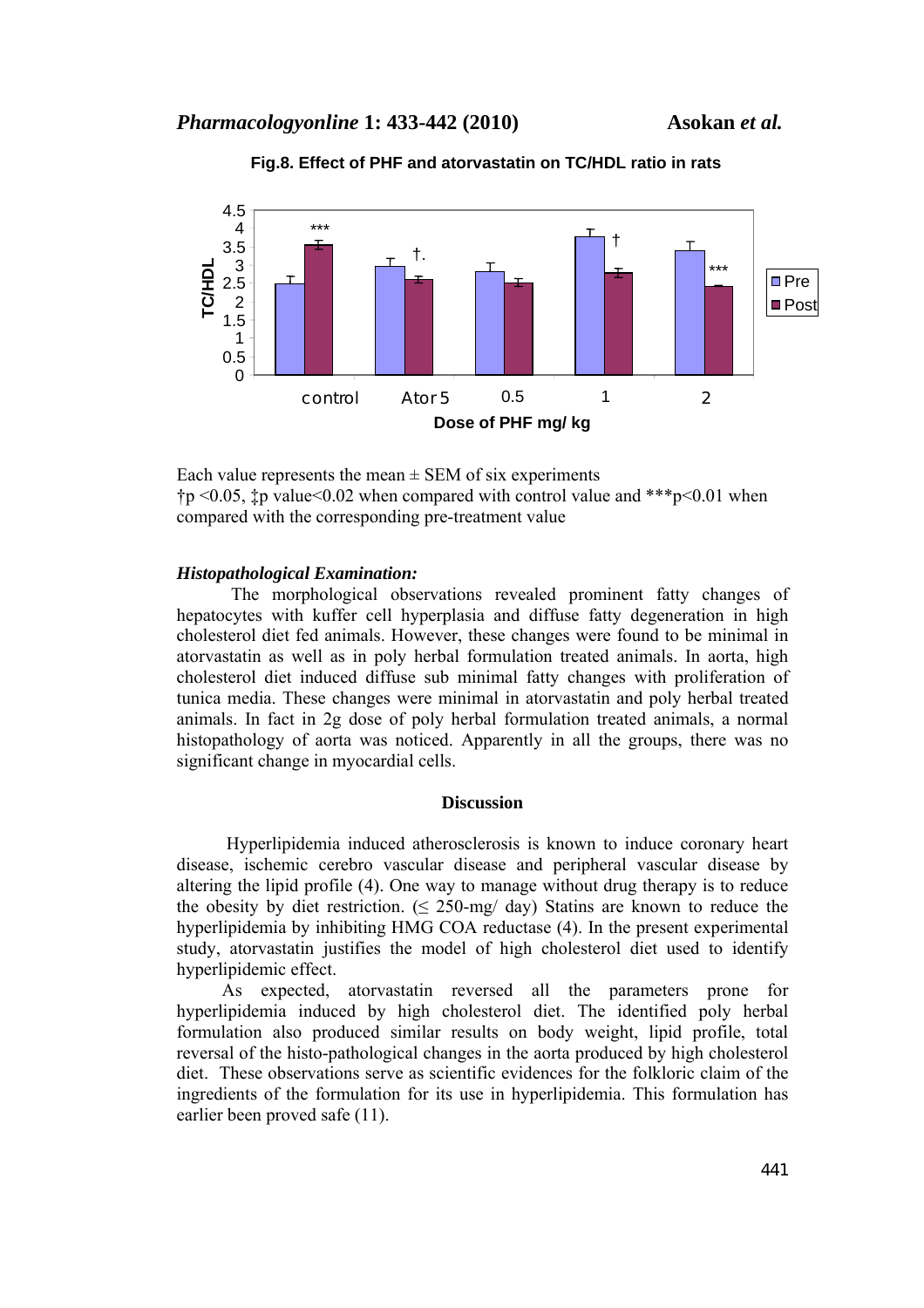



Each value represents the mean  $\pm$  SEM of six experiments  $\uparrow$  p <0.05,  $\downarrow$  p value <0.02 when compared with control value and \*\*\*p <0.01 when compared with the corresponding pre-treatment value

## *Histopathological Examination:*

The morphological observations revealed prominent fatty changes of hepatocytes with kuffer cell hyperplasia and diffuse fatty degeneration in high cholesterol diet fed animals. However, these changes were found to be minimal in atorvastatin as well as in poly herbal formulation treated animals. In aorta, high cholesterol diet induced diffuse sub minimal fatty changes with proliferation of tunica media. These changes were minimal in atorvastatin and poly herbal treated animals. In fact in 2g dose of poly herbal formulation treated animals, a normal histopathology of aorta was noticed. Apparently in all the groups, there was no significant change in myocardial cells.

# **Discussion**

 Hyperlipidemia induced atherosclerosis is known to induce coronary heart disease, ischemic cerebro vascular disease and peripheral vascular disease by altering the lipid profile (4). One way to manage without drug therapy is to reduce the obesity by diet restriction. ( $\leq$  250-mg/ day) Statins are known to reduce the hyperlipidemia by inhibiting HMG COA reductase (4). In the present experimental study, atorvastatin justifies the model of high cholesterol diet used to identify hyperlipidemic effect.

 As expected, atorvastatin reversed all the parameters prone for hyperlipidemia induced by high cholesterol diet. The identified poly herbal formulation also produced similar results on body weight, lipid profile, total reversal of the histo-pathological changes in the aorta produced by high cholesterol diet. These observations serve as scientific evidences for the folkloric claim of the ingredients of the formulation for its use in hyperlipidemia. This formulation has earlier been proved safe (11).